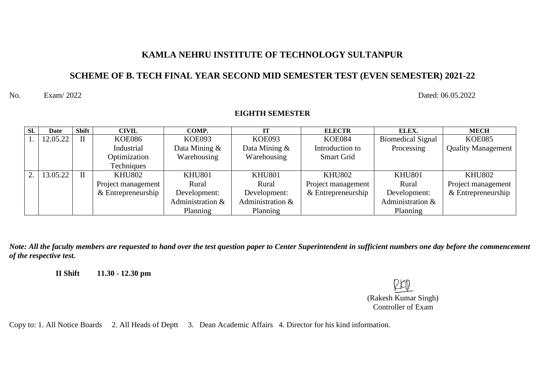#### **KAMLA NEHRU INSTITUTE OF TECHNOLOGY SULTANPUR**

### **SCHEME OF B. TECH FINAL YEAR SECOND MID SEMESTER TEST (EVEN SEMESTER) 2021-22**

**EIGHTH SEMESTER**

No. Exam/ 2022 Dated: 06.05.2022

#### **Sl. Date Shift CIVIL COMP. IT ELECTR ELEX. MECH** 1. 12.05.22 II KOE086 Industrial Optimization **Techniques** KOE093 Data Mining & Warehousing KOE093 Data Mining & Warehousing KOE084 Introduction to Smart Grid Biomedical Signal Processing KOE085 Quality Management 2. 13.05.22 II KHU802 Project management & Entrepreneurship KHU801 Rural Development: Administration & Planning KHU801 Rural Development: Administration & Planning KHU802 Project management & Entrepreneurship KHU801 Rural Development: Administration & Planning KHU802 Project management & Entrepreneurship

*Note: All the faculty members are requested to hand over the test question paper to Center Superintendent in sufficient numbers one day before the commencement of the respective test.*

**II Shift 11.30 - 12.30 pm** 

(Rakesh Kumar Singh) Controller of Exam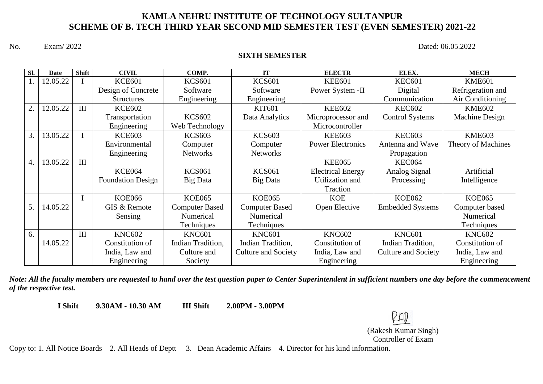#### **KAMLA NEHRU INSTITUTE OF TECHNOLOGY SULTANPUR SCHEME OF B. TECH THIRD YEAR SECOND MID SEMESTER TEST (EVEN SEMESTER) 2021-22**

No. Exam/ 2022 Dated: 06.05.2022

#### **SIXTH SEMESTER**

| SI. | <b>Date</b> | <b>Shift</b> | <b>CIVIL</b>             | COMP.                 | IT                         | <b>ELECTR</b>            | ELEX.                      | <b>MECH</b>        |
|-----|-------------|--------------|--------------------------|-----------------------|----------------------------|--------------------------|----------------------------|--------------------|
|     | 12.05.22    |              | <b>KCE601</b>            | <b>KCS601</b>         | <b>KCS601</b>              | <b>KEE601</b>            | <b>KEC601</b>              | <b>KME601</b>      |
|     |             |              | Design of Concrete       | Software              | Software                   | Power System -II         | Digital                    | Refrigeration and  |
|     |             |              | <b>Structures</b>        | Engineering           | Engineering                |                          | Communication              | Air Conditioning   |
| 2.  | 12.05.22    | III          | <b>KCE602</b>            |                       | <b>KIT601</b>              | <b>KEE602</b>            | <b>KEC602</b>              | <b>KME602</b>      |
|     |             |              | Transportation           | <b>KCS602</b>         | Data Analytics             | Microprocessor and       | <b>Control Systems</b>     | Machine Design     |
|     |             |              | Engineering              | Web Technology        |                            | Microcontroller          |                            |                    |
| 3.  | 13.05.22    |              | <b>KCE603</b>            | <b>KCS603</b>         | <b>KCS603</b>              | <b>KEE603</b>            | <b>KEC603</b>              | <b>KME603</b>      |
|     |             |              | Environmental            | Computer              | Computer                   | <b>Power Electronics</b> | Antenna and Wave           | Theory of Machines |
|     |             |              | Engineering              | <b>Networks</b>       | <b>Networks</b>            |                          | Propagation                |                    |
| 4.  | 13.05.22    | III          |                          |                       |                            | <b>KEE065</b>            | <b>KEC064</b>              |                    |
|     |             |              | <b>KCE064</b>            | <b>KCS061</b>         | <b>KCS061</b>              | <b>Electrical Energy</b> | Analog Signal              | Artificial         |
|     |             |              | <b>Foundation Design</b> | Big Data              | Big Data                   | Utilization and          | Processing                 | Intelligence       |
|     |             |              |                          |                       |                            | Traction                 |                            |                    |
|     |             |              | <b>KOE066</b>            | <b>KOE065</b>         | <b>KOE065</b>              | <b>KOE</b>               | <b>KOE062</b>              | <b>KOE065</b>      |
| 5.  | 14.05.22    |              | GIS & Remote             | <b>Computer Based</b> | <b>Computer Based</b>      | Open Elective            | <b>Embedded Systems</b>    | Computer based     |
|     |             |              | Sensing                  | Numerical             | Numerical                  |                          |                            | Numerical          |
|     |             |              |                          | Techniques            | Techniques                 |                          |                            | Techniques         |
| 6.  |             | III          | <b>KNC602</b>            | <b>KNC601</b>         | <b>KNC601</b>              | <b>KNC602</b>            | <b>KNC601</b>              | <b>KNC602</b>      |
|     | 14.05.22    |              | Constitution of          | Indian Tradition,     | Indian Tradition,          | Constitution of          | Indian Tradition,          | Constitution of    |
|     |             |              | India, Law and           | Culture and           | <b>Culture and Society</b> | India, Law and           | <b>Culture and Society</b> | India, Law and     |
|     |             |              | Engineering              | Society               |                            | Engineering              |                            | Engineering        |

*Note: All the faculty members are requested to hand over the test question paper to Center Superintendent in sufficient numbers one day before the commencement of the respective test.*

**I Shift 9.30AM - 10.30 AM III Shift 2.00PM - 3.00PM** 

(Rakesh Kumar Singh) Controller of Exam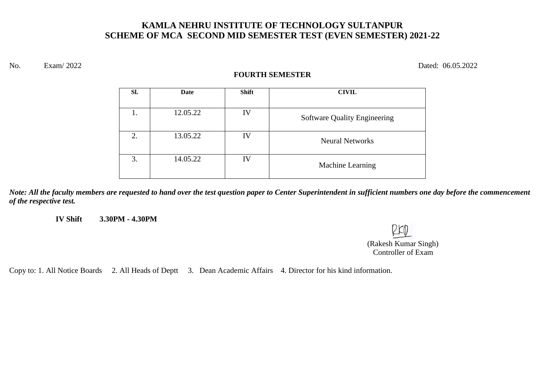### **KAMLA NEHRU INSTITUTE OF TECHNOLOGY SULTANPUR SCHEME OF MCA SECOND MID SEMESTER TEST (EVEN SEMESTER) 2021-22**

No. Exam/ 2022 Dated: 06.05.2022

#### **FOURTH SEMESTER**

| SI. | Date     | <b>Shift</b> | <b>CIVIL</b>                        |
|-----|----------|--------------|-------------------------------------|
|     | 12.05.22 | IV           | <b>Software Quality Engineering</b> |
| 2.  | 13.05.22 | IV           | <b>Neural Networks</b>              |
| 3.  | 14.05.22 | IV           | Machine Learning                    |

*Note: All the faculty members are requested to hand over the test question paper to Center Superintendent in sufficient numbers one day before the commencement of the respective test.*

**IV Shift 3.30PM - 4.30PM** 

(Rakesh Kumar Singh) Controller of Exam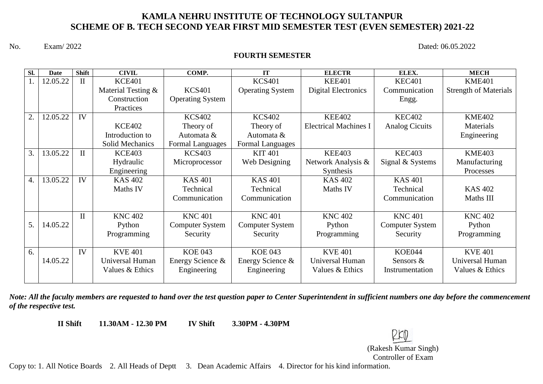#### **KAMLA NEHRU INSTITUTE OF TECHNOLOGY SULTANPUR SCHEME OF B. TECH SECOND YEAR FIRST MID SEMESTER TEST (EVEN SEMESTER) 2021-22**

No. Exam/ 2022 Dated: 06.05.2022

#### **FOURTH SEMESTER**

| SI.              | <b>Date</b> | <b>Shift</b> | <b>CIVIL</b>           | COMP.                   | IT                      | <b>ELECTR</b>                | ELEX.                  | <b>MECH</b>                  |
|------------------|-------------|--------------|------------------------|-------------------------|-------------------------|------------------------------|------------------------|------------------------------|
|                  | 12.05.22    | $\mathbf{I}$ | <b>KCE401</b>          |                         | <b>KCS401</b>           | <b>KEE401</b>                | <b>KEC401</b>          | <b>KME401</b>                |
|                  |             |              | Material Testing &     | <b>KCS401</b>           | <b>Operating System</b> | <b>Digital Electronics</b>   | Communication          | <b>Strength of Materials</b> |
|                  |             |              | Construction           | <b>Operating System</b> |                         |                              | Engg.                  |                              |
|                  |             |              | Practices              |                         |                         |                              |                        |                              |
| $\overline{2}$ . | 12.05.22    | IV           |                        | <b>KCS402</b>           | <b>KCS402</b>           | <b>KEE402</b>                | <b>KEC402</b>          | <b>KME402</b>                |
|                  |             |              | <b>KCE402</b>          | Theory of               | Theory of               | <b>Electrical Machines I</b> | <b>Analog Cicuits</b>  | Materials                    |
|                  |             |              | Introduction to        | Automata &              | Automata &              |                              |                        | Engineering                  |
|                  |             |              | <b>Solid Mechanics</b> | Formal Languages        | Formal Languages        |                              |                        |                              |
| 3.               | 13.05.22    | $\mathbf{I}$ | <b>KCE403</b>          | <b>KCS403</b>           | <b>KIT 401</b>          | <b>KEE403</b>                | <b>KEC403</b>          | <b>KME403</b>                |
|                  |             |              | Hydraulic              | Microprocessor          | Web Designing           | Network Analysis &           | Signal & Systems       | Manufacturing                |
|                  |             |              | Engineering            |                         |                         | Synthesis                    |                        | Processes                    |
| 4.               | 13.05.22    | IV           | <b>KAS 402</b>         | <b>KAS 401</b>          | <b>KAS 401</b>          | <b>KAS 402</b>               | <b>KAS 401</b>         |                              |
|                  |             |              | Maths IV               | Technical               | Technical               | Maths IV                     | Technical              | <b>KAS 402</b>               |
|                  |             |              |                        | Communication           | Communication           |                              | Communication          | Maths III                    |
|                  |             |              |                        |                         |                         |                              |                        |                              |
|                  |             | $\mathbf{I}$ | <b>KNC 402</b>         | <b>KNC 401</b>          | <b>KNC 401</b>          | <b>KNC 402</b>               | <b>KNC 401</b>         | <b>KNC 402</b>               |
| 5.               | 14.05.22    |              | Python                 | <b>Computer System</b>  | <b>Computer System</b>  | Python                       | <b>Computer System</b> | Python                       |
|                  |             |              | Programming            | Security                | Security                | Programming                  | Security               | Programming                  |
|                  |             |              |                        |                         |                         |                              |                        |                              |
| 6.               |             | IV           | <b>KVE 401</b>         | <b>KOE 043</b>          | <b>KOE 043</b>          | <b>KVE 401</b>               | <b>KOE044</b>          | <b>KVE 401</b>               |
|                  | 14.05.22    |              | Universal Human        | Energy Science &        | Energy Science &        | Universal Human              | Sensors $\&$           | Universal Human              |
|                  |             |              | Values & Ethics        | Engineering             | Engineering             | Values & Ethics              | Instrumentation        | Values & Ethics              |
|                  |             |              |                        |                         |                         |                              |                        |                              |

*Note: All the faculty members are requested to hand over the test question paper to Center Superintendent in sufficient numbers one day before the commencement of the respective test.*

**II Shift 11.30AM - 12.30 PM IV Shift 3.30PM - 4.30PM** 

(Rakesh Kumar Singh)

Controller of Exam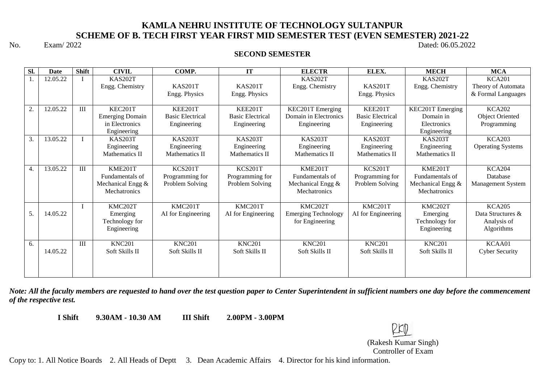# **KAMLA NEHRU INSTITUTE OF TECHNOLOGY SULTANPUR SCHEME OF B. TECH FIRST YEAR FIRST MID SEMESTER TEST (EVEN SEMESTER) 2021-22**<br>Dated: 06.05.202

#### No. Exam/ 2022 Dated: 06.05.2022

#### **SECOND SEMESTER**

| Sl. | <b>Date</b> | <b>Shift</b>   | <b>CIVIL</b>                      | COMP.                   | <b>IT</b>               | <b>ELECTR</b>                     | ELEX.                   | <b>MECH</b>                       | <b>MCA</b>                          |
|-----|-------------|----------------|-----------------------------------|-------------------------|-------------------------|-----------------------------------|-------------------------|-----------------------------------|-------------------------------------|
|     | 12.05.22    |                | <b>KAS202T</b><br>Engg. Chemistry | <b>KAS201T</b>          | <b>KAS201T</b>          | <b>KAS202T</b><br>Engg. Chemistry | <b>KAS201T</b>          | <b>KAS202T</b><br>Engg. Chemistry | <b>KCA201</b><br>Theory of Automata |
|     |             |                |                                   | Engg. Physics           | Engg. Physics           |                                   | Engg. Physics           |                                   | & Formal Languages                  |
| 2.  | 12.05.22    | $\mathbf{III}$ | KEC201T                           | <b>KEE201T</b>          | <b>KEE201T</b>          | KEC201T Emerging                  | <b>KEE201T</b>          | KEC201T Emerging                  | <b>KCA202</b>                       |
|     |             |                | <b>Emerging Domain</b>            | <b>Basic Electrical</b> | <b>Basic Electrical</b> | Domain in Electronics             | <b>Basic Electrical</b> | Domain in                         | <b>Object Oriented</b>              |
|     |             |                | in Electronics<br>Engineering     | Engineering             | Engineering             | Engineering                       | Engineering             | Electronics<br>Engineering        | Programming                         |
| 3.  | 13.05.22    |                | <b>KAS203T</b>                    | <b>KAS203T</b>          | <b>KAS203T</b>          | <b>KAS203T</b>                    | KAS203T                 | <b>KAS203T</b>                    | <b>KCA203</b>                       |
|     |             |                | Engineering                       | Engineering             | Engineering             | Engineering                       | Engineering             | Engineering                       | <b>Operating Systems</b>            |
|     |             |                | Mathematics II                    | Mathematics II          | <b>Mathematics II</b>   | <b>Mathematics II</b>             | Mathematics II          | Mathematics II                    |                                     |
| 4.  | 13.05.22    | III            | KME201T                           | <b>KCS201T</b>          | <b>KCS201T</b>          | KME201T                           | KCS201T                 | KME201T                           | <b>KCA204</b>                       |
|     |             |                | Fundamentals of                   | Programming for         | Programming for         | Fundamentals of                   | Programming for         | Fundamentals of                   | Database                            |
|     |             |                | Mechanical Engg &                 | Problem Solving         | Problem Solving         | Mechanical Engg &                 | Problem Solving         | Mechanical Engg &                 | Management System                   |
|     |             |                | Mechatronics                      |                         |                         | Mechatronics                      |                         | Mechatronics                      |                                     |
|     |             |                | KMC202T                           | KMC201T                 | KMC201T                 | KMC202T                           | KMC201T                 | KMC202T                           | <b>KCA205</b>                       |
| 5.  | 14.05.22    |                | Emerging                          | AI for Engineering      | AI for Engineering      | <b>Emerging Technology</b>        | AI for Engineering      | Emerging                          | Data Structures &                   |
|     |             |                | Technology for                    |                         |                         | for Engineering                   |                         | Technology for                    | Analysis of                         |
|     |             |                | Engineering                       |                         |                         |                                   |                         | Engineering                       | Algorithms                          |
| 6.  |             | $\mathbf{III}$ | <b>KNC201</b>                     | <b>KNC201</b>           | <b>KNC201</b>           | <b>KNC201</b>                     | <b>KNC201</b>           | <b>KNC201</b>                     | KCAA01                              |
|     | 14.05.22    |                | Soft Skills II                    | Soft Skills II          | Soft Skills II          | Soft Skills II                    | Soft Skills II          | Soft Skills II                    | <b>Cyber Security</b>               |
|     |             |                |                                   |                         |                         |                                   |                         |                                   |                                     |
|     |             |                |                                   |                         |                         |                                   |                         |                                   |                                     |

*Note: All the faculty members are requested to hand over the test question paper to Center Superintendent in sufficient numbers one day before the commencement of the respective test.*

**I Shift 9.30AM - 10.30 AM III Shift 2.00PM - 3.00PM** 

(Rakesh Kumar Singh) Controller of Exam